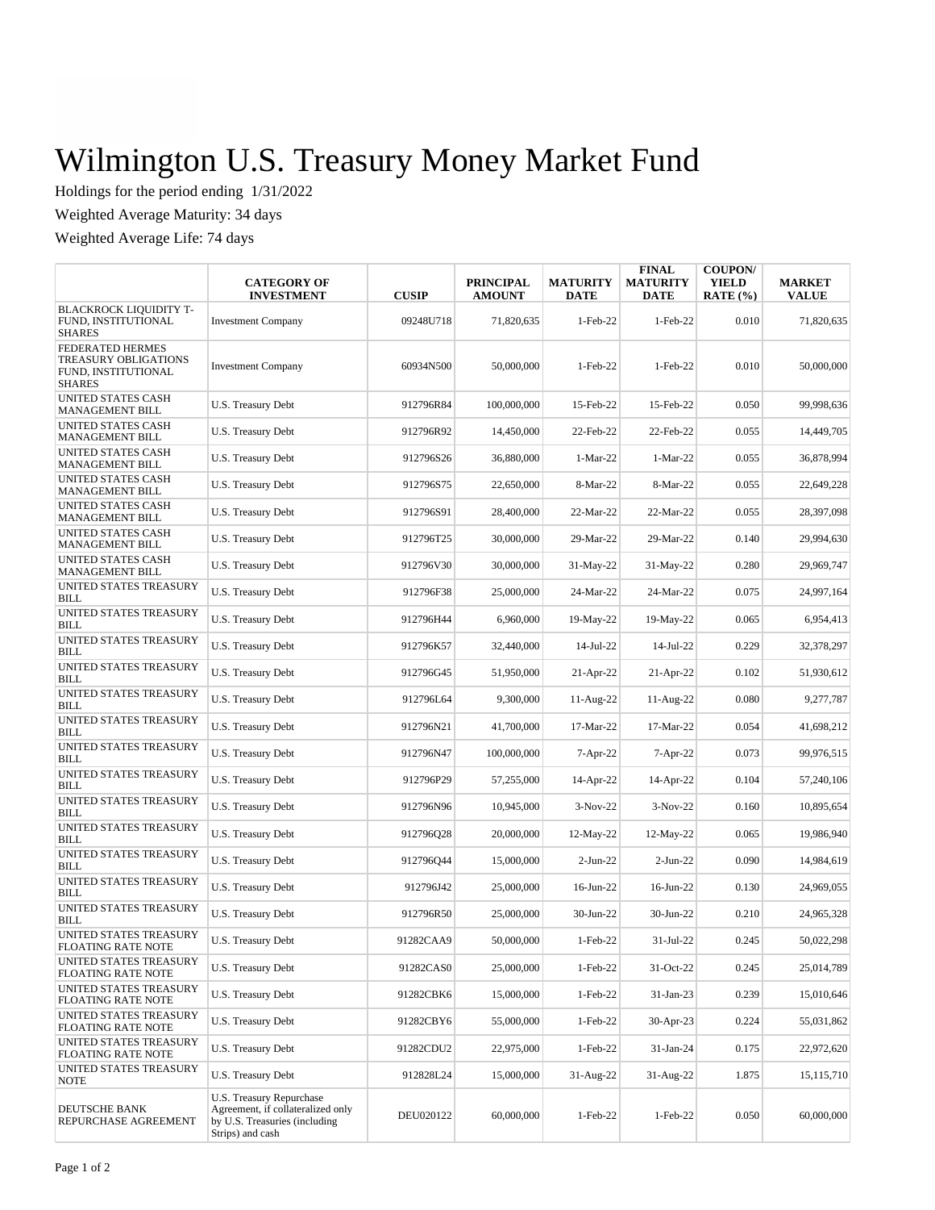## Wilmington U.S. Treasury Money Market Fund

Holdings for the period ending 1/31/2022

Weighted Average Maturity: 34 days

Weighted Average Life: 74 days

|                                                                                  | <b>CATEGORY OF</b><br><b>INVESTMENT</b>                                                                            | <b>CUSIP</b> | <b>PRINCIPAL</b><br><b>AMOUNT</b> | <b>MATURITY</b><br><b>DATE</b> | <b>FINAL</b><br><b>MATURITY</b><br>DATE | <b>COUPON/</b><br><b>YIELD</b><br>RATE $(\% )$ | <b>MARKET</b><br><b>VALUE</b> |
|----------------------------------------------------------------------------------|--------------------------------------------------------------------------------------------------------------------|--------------|-----------------------------------|--------------------------------|-----------------------------------------|------------------------------------------------|-------------------------------|
| <b>BLACKROCK LIQUIDITY T-</b><br>FUND, INSTITUTIONAL<br><b>SHARES</b>            | <b>Investment Company</b>                                                                                          | 09248U718    | 71,820,635                        | $1-Feb-22$                     | $1-Feb-22$                              | 0.010                                          | 71,820,635                    |
| FEDERATED HERMES<br>TREASURY OBLIGATIONS<br>FUND, INSTITUTIONAL<br><b>SHARES</b> | <b>Investment Company</b>                                                                                          | 60934N500    | 50,000,000                        | $1-Feb-22$                     | $1-Feb-22$                              | 0.010                                          | 50,000,000                    |
| UNITED STATES CASH<br><b>MANAGEMENT BILL</b>                                     | U.S. Treasury Debt                                                                                                 | 912796R84    | 100,000,000                       | 15-Feb-22                      | 15-Feb-22                               | 0.050                                          | 99,998,636                    |
| <b>UNITED STATES CASH</b><br><b>MANAGEMENT BILL</b>                              | U.S. Treasury Debt                                                                                                 | 912796R92    | 14,450,000                        | 22-Feb-22                      | 22-Feb-22                               | 0.055                                          | 14,449,705                    |
| <b>UNITED STATES CASH</b><br><b>MANAGEMENT BILL</b>                              | U.S. Treasury Debt                                                                                                 | 912796S26    | 36,880,000                        | 1-Mar-22                       | $1-Mar-22$                              | 0.055                                          | 36,878,994                    |
| UNITED STATES CASH<br><b>MANAGEMENT BILL</b>                                     | U.S. Treasury Debt                                                                                                 | 912796S75    | 22,650,000                        | 8-Mar-22                       | 8-Mar-22                                | 0.055                                          | 22,649,228                    |
| UNITED STATES CASH<br><b>MANAGEMENT BILL</b>                                     | U.S. Treasury Debt                                                                                                 | 912796S91    | 28,400,000                        | 22-Mar-22                      | 22-Mar-22                               | 0.055                                          | 28,397,098                    |
| UNITED STATES CASH<br><b>MANAGEMENT BILL</b>                                     | U.S. Treasury Debt                                                                                                 | 912796T25    | 30,000,000                        | 29-Mar-22                      | 29-Mar-22                               | 0.140                                          | 29,994,630                    |
| <b>UNITED STATES CASH</b><br><b>MANAGEMENT BILL</b>                              | U.S. Treasury Debt                                                                                                 | 912796V30    | 30,000,000                        | 31-May-22                      | 31-May-22                               | 0.280                                          | 29,969,747                    |
| UNITED STATES TREASURY<br><b>BILL</b>                                            | U.S. Treasury Debt                                                                                                 | 912796F38    | 25,000,000                        | 24-Mar-22                      | 24-Mar-22                               | 0.075                                          | 24,997,164                    |
| UNITED STATES TREASURY<br><b>BILL</b>                                            | U.S. Treasury Debt                                                                                                 | 912796H44    | 6,960,000                         | 19-May-22                      | 19-May-22                               | 0.065                                          | 6,954,413                     |
| UNITED STATES TREASURY<br><b>BILL</b>                                            | U.S. Treasury Debt                                                                                                 | 912796K57    | 32,440,000                        | $14$ -Jul-22                   | 14-Jul-22                               | 0.229                                          | 32,378,297                    |
| UNITED STATES TREASURY<br><b>BILL</b>                                            | U.S. Treasury Debt                                                                                                 | 912796G45    | 51,950,000                        | $21-Apr-22$                    | $21-Apr-22$                             | 0.102                                          | 51,930,612                    |
| UNITED STATES TREASURY<br><b>BILL</b>                                            | U.S. Treasury Debt                                                                                                 | 912796L64    | 9,300,000                         | $11-Aug-22$                    | 11-Aug-22                               | 0.080                                          | 9,277,787                     |
| UNITED STATES TREASURY<br><b>BILL</b>                                            | U.S. Treasury Debt                                                                                                 | 912796N21    | 41,700,000                        | 17-Mar-22                      | 17-Mar-22                               | 0.054                                          | 41,698,212                    |
| UNITED STATES TREASURY<br><b>BILL</b>                                            | U.S. Treasury Debt                                                                                                 | 912796N47    | 100,000,000                       | $7-Apr-22$                     | $7-Apr-22$                              | 0.073                                          | 99,976,515                    |
| UNITED STATES TREASURY<br><b>BILL</b>                                            | U.S. Treasury Debt                                                                                                 | 912796P29    | 57,255,000                        | $14$ -Apr-22                   | $14$ -Apr-22                            | 0.104                                          | 57,240,106                    |
| UNITED STATES TREASURY<br><b>BILL</b>                                            | U.S. Treasury Debt                                                                                                 | 912796N96    | 10,945,000                        | $3-Nov-22$                     | $3-Nov-22$                              | 0.160                                          | 10,895,654                    |
| UNITED STATES TREASURY<br><b>BILL</b>                                            | U.S. Treasury Debt                                                                                                 | 912796Q28    | 20,000,000                        | $12$ -May-22                   | 12-May-22                               | 0.065                                          | 19,986,940                    |
| UNITED STATES TREASURY<br>BILL                                                   | U.S. Treasury Debt                                                                                                 | 912796Q44    | 15,000,000                        | $2-Jun-22$                     | $2-Jun-22$                              | 0.090                                          | 14,984,619                    |
| UNITED STATES TREASURY<br>BILL                                                   | U.S. Treasury Debt                                                                                                 | 912796J42    | 25,000,000                        | $16$ -Jun-22                   | $16$ -Jun-22                            | 0.130                                          | 24,969,055                    |
| UNITED STATES TREASURY<br><b>BILL</b>                                            | U.S. Treasury Debt                                                                                                 | 912796R50    | 25,000,000                        | $30-Jun-22$                    | 30-Jun-22                               | 0.210                                          | 24,965,328                    |
| UNITED STATES TREASURY<br><b>FLOATING RATE NOTE</b>                              | U.S. Treasury Debt                                                                                                 | 91282CAA9    | 50,000,000                        | $1-Feb-22$                     | $31-Jul-22$                             | 0.245                                          | 50,022,298                    |
| UNITED STATES TREASURY<br><b>FLOATING RATE NOTE</b>                              | U.S. Treasury Debt                                                                                                 | 91282CAS0    | 25,000,000                        | 1-Feb-22                       | 31-Oct-22                               | 0.245                                          | 25,014,789                    |
| UNITED STATES TREASURY<br><b>FLOATING RATE NOTE</b>                              | U.S. Treasury Debt                                                                                                 | 91282CBK6    | 15,000,000                        | $1-Feb-22$                     | 31-Jan-23                               | 0.239                                          | 15,010,646                    |
| UNITED STATES TREASURY<br>FLOATING RATE NOTE                                     | U.S. Treasury Debt                                                                                                 | 91282CBY6    | 55,000,000                        | $1-Feb-22$                     | 30-Apr-23                               | 0.224                                          | 55,031,862                    |
| UNITED STATES TREASURY<br><b>FLOATING RATE NOTE</b>                              | U.S. Treasury Debt                                                                                                 | 91282CDU2    | 22,975,000                        | 1-Feb-22                       | 31-Jan-24                               | 0.175                                          | 22,972,620                    |
| UNITED STATES TREASURY<br><b>NOTE</b>                                            | U.S. Treasury Debt                                                                                                 | 912828L24    | 15,000,000                        | 31-Aug-22                      | 31-Aug-22                               | 1.875                                          | 15, 115, 710                  |
| DEUTSCHE BANK<br>REPURCHASE AGREEMENT                                            | U.S. Treasury Repurchase<br>Agreement, if collateralized only<br>by U.S. Treasuries (including<br>Strips) and cash | DEU020122    | 60,000,000                        | 1-Feb-22                       | 1-Feb-22                                | 0.050                                          | 60,000,000                    |